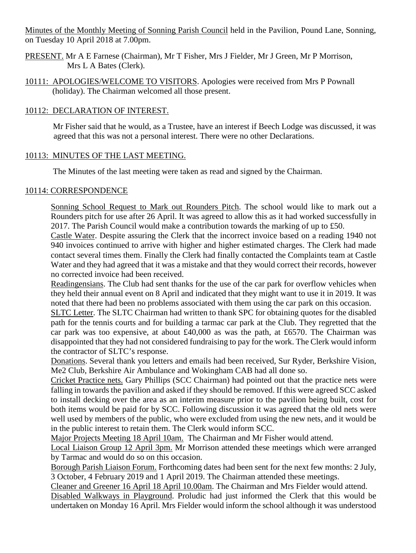Minutes of the Monthly Meeting of Sonning Parish Council held in the Pavilion, Pound Lane, Sonning, on Tuesday 10 April 2018 at 7.00pm.

- PRESENT. Mr A E Farnese (Chairman), Mr T Fisher, Mrs J Fielder, Mr J Green, Mr P Morrison, Mrs L A Bates (Clerk).
- 10111: APOLOGIES/WELCOME TO VISITORS. Apologies were received from Mrs P Pownall (holiday). The Chairman welcomed all those present.

# 10112: DECLARATION OF INTEREST.

Mr Fisher said that he would, as a Trustee, have an interest if Beech Lodge was discussed, it was agreed that this was not a personal interest. There were no other Declarations.

# 10113: MINUTES OF THE LAST MEETING.

The Minutes of the last meeting were taken as read and signed by the Chairman.

# 10114: CORRESPONDENCE

Sonning School Request to Mark out Rounders Pitch. The school would like to mark out a Rounders pitch for use after 26 April. It was agreed to allow this as it had worked successfully in 2017. The Parish Council would make a contribution towards the marking of up to £50.

Castle Water. Despite assuring the Clerk that the incorrect invoice based on a reading 1940 not 940 invoices continued to arrive with higher and higher estimated charges. The Clerk had made contact several times them. Finally the Clerk had finally contacted the Complaints team at Castle Water and they had agreed that it was a mistake and that they would correct their records, however no corrected invoice had been received.

Readingensians. The Club had sent thanks for the use of the car park for overflow vehicles when they held their annual event on 8 April and indicated that they might want to use it in 2019. It was noted that there had been no problems associated with them using the car park on this occasion.

SLTC Letter. The SLTC Chairman had written to thank SPC for obtaining quotes for the disabled path for the tennis courts and for building a tarmac car park at the Club. They regretted that the car park was too expensive, at about £40,000 as was the path, at £6570. The Chairman was disappointed that they had not considered fundraising to pay for the work. The Clerk would inform the contractor of SLTC's response.

Donations. Several thank you letters and emails had been received, Sur Ryder, Berkshire Vision, Me2 Club, Berkshire Air Ambulance and Wokingham CAB had all done so.

Cricket Practice nets. Gary Phillips (SCC Chairman) had pointed out that the practice nets were falling in towards the pavilion and asked if they should be removed. If this were agreed SCC asked to install decking over the area as an interim measure prior to the pavilion being built, cost for both items would be paid for by SCC. Following discussion it was agreed that the old nets were well used by members of the public, who were excluded from using the new nets, and it would be in the public interest to retain them. The Clerk would inform SCC.

Major Projects Meeting 18 April 10am. The Chairman and Mr Fisher would attend.

Local Liaison Group 12 April 3pm. Mr Morrison attended these meetings which were arranged by Tarmac and would do so on this occasion.

Borough Parish Liaison Forum. Forthcoming dates had been sent for the next few months: 2 July, 3 October, 4 February 2019 and 1 April 2019. The Chairman attended these meetings.

Cleaner and Greener 16 April 18 April 10.00am. The Chairman and Mrs Fielder would attend.

Disabled Walkways in Playground. Proludic had just informed the Clerk that this would be undertaken on Monday 16 April. Mrs Fielder would inform the school although it was understood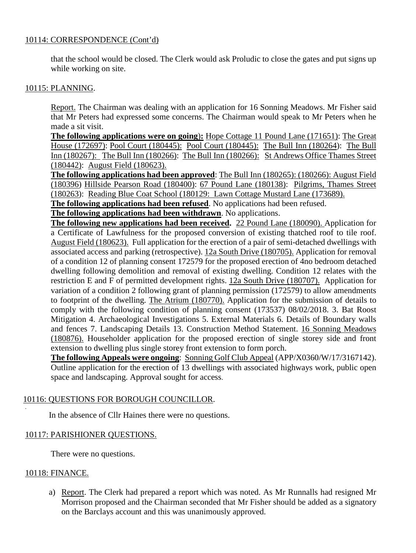## 10114: CORRESPONDENCE (Cont'd)

that the school would be closed. The Clerk would ask Proludic to close the gates and put signs up while working on site.

## 10115: PLANNING.

Report. The Chairman was dealing with an application for 16 Sonning Meadows. Mr Fisher said that Mr Peters had expressed some concerns. The Chairman would speak to Mr Peters when he made a sit visit.

**The following applications were on going**)**:** Hope Cottage 11 Pound Lane (171651): The Great House (172697): Pool Court (180445): Pool Court (180445): The Bull Inn (180264): The Bull Inn (180267): The Bull Inn (180266): The Bull Inn (180266): St Andrews Office Thames Street (180442): August Field (180623).

**The following applications had been approved**: The Bull Inn (180265): (180266): August Field (180396) Hillside Pearson Road (180400): 67 Pound Lane (180138): Pilgrims, Thames Street (180263): Reading Blue Coat School (180129: Lawn Cottage Mustard Lane (173689).

**The following applications had been refused**. No applications had been refused.

**The following applications had been withdrawn**. No applications.

**The following new applications had been received.** 22 Pound Lane (180090). Application for a Certificate of Lawfulness for the proposed conversion of existing thatched roof to tile roof. August Field (180623). Full application for the erection of a pair of semi-detached dwellings with associated access and parking (retrospective). 12a South Drive (180705). Application for removal of a condition 12 of planning consent 172579 for the proposed erection of 4no bedroom detached dwelling following demolition and removal of existing dwelling. Condition 12 relates with the restriction E and F of permitted development rights. 12a South Drive (180707). Application for variation of a condition 2 following grant of planning permission (172579) to allow amendments to footprint of the dwelling. The Atrium (180770). Application for the submission of details to comply with the following condition of planning consent (173537) 08/02/2018. 3. Bat Roost Mitigation 4. Archaeological Investigations 5. External Materials 6. Details of Boundary walls and fences 7. Landscaping Details 13. Construction Method Statement. 16 Sonning Meadows (180876). Householder application for the proposed erection of single storey side and front extension to dwelling plus single storey front extension to form porch.

**The following Appeals were ongoing**: Sonning Golf Club Appeal (APP/X0360/W/17/3167142). Outline application for the erection of 13 dwellings with associated highways work, public open space and landscaping. Approval sought for access.

# 10116: QUESTIONS FOR BOROUGH COUNCILLOR.

In the absence of Cllr Haines there were no questions.

# 10117: PARISHIONER QUESTIONS.

There were no questions.

#### 10118: FINANCE.

.

a) Report. The Clerk had prepared a report which was noted. As Mr Runnalls had resigned Mr Morrison proposed and the Chairman seconded that Mr Fisher should be added as a signatory on the Barclays account and this was unanimously approved.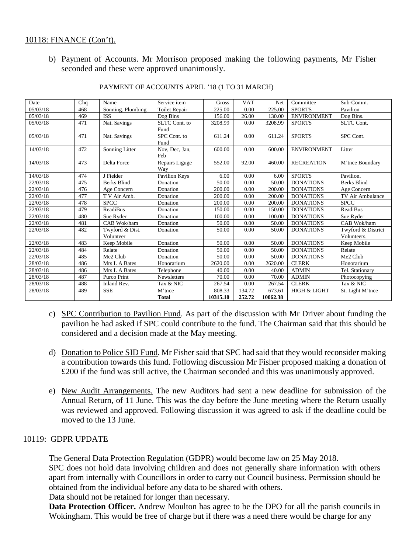#### 10118: FINANCE (Con't).

b) Payment of Accounts. Mr Morrison proposed making the following payments, Mr Fisher seconded and these were approved unanimously.

| Date     | Chq | Name               | Service item         | Gross    | <b>VAT</b> | Net      | Committee               | Sub-Comm.          |
|----------|-----|--------------------|----------------------|----------|------------|----------|-------------------------|--------------------|
| 05/03/18 | 468 | Sonning. Plumbing  | <b>Toilet Repair</b> | 225.00   | 0.00       | 225.00   | <b>SPORTS</b>           | Pavilion           |
| 05/03/18 | 469 | <b>ISS</b>         | Dog Bins             | 156.00   | 26.00      | 130.00   | <b>ENVIRONMENT</b>      | Dog Bins.          |
| 05/03/18 | 471 | Nat. Savings       | SLTC Cont. to        | 3208.99  | 0.00       | 3208.99  | <b>SPORTS</b>           | <b>SLTC Cont.</b>  |
|          |     |                    | Fund                 |          |            |          |                         |                    |
| 05/03/18 | 471 | Nat. Savings       | SPC Cont. to         | 611.24   | 0.00       | 611.24   | <b>SPORTS</b>           | SPC Cont.          |
|          |     |                    | Fund                 |          |            |          |                         |                    |
| 14/03/18 | 472 | Sonning Litter     | Nov, Dec, Jan,       | 600.00   | 0.00       | 600.00   | <b>ENVIRONMENT</b>      | Litter             |
|          |     |                    | Feb                  |          |            |          |                         |                    |
| 14/03/18 | 473 | Delta Force        | Repairs Liguge       | 552.00   | 92.00      | 460.00   | <b>RECREATION</b>       | M'tnce Boundary    |
|          |     |                    | Way                  |          |            |          |                         |                    |
| 14/03/18 | 474 | J Fielder          | Pavilion Keys        | 6.00     | 0.00       | 6.00     | <b>SPORTS</b>           | Pavilion.          |
| 22/03/18 | 475 | <b>Berks Blind</b> | Donation             | 50.00    | 0.00       | 50.00    | <b>DONATIONS</b>        | <b>Berks Blind</b> |
| 22/03/18 | 476 | Age Concern        | Donation             | 200.00   | 0.00       | 200.00   | <b>DONATIONS</b>        | Age Concern        |
| 22/03/18 | 477 | T V Air Amb.       | Donation             | 200.00   | 0.00       | 200.00   | <b>DONATIONS</b>        | TV Air Ambulance   |
| 22/03/18 | 478 | <b>SPCC</b>        | Donation             | 200.00   | 0.00       | 200.00   | <b>DONATIONS</b>        | <b>SPCC</b>        |
| 22/03/18 | 479 | <b>ReadiBus</b>    | Donation             | 150.00   | 0.00       | 150.00   | <b>DONATIONS</b>        | <b>ReadiBus</b>    |
| 22/03/18 | 480 | Sue Ryder          | Donation             | 100.00   | 0.00       | 100.00   | <b>DONATIONS</b>        | Sue Ryder          |
| 22/03/18 | 481 | CAB Wok/ham        | Donation             | 50.00    | 0.00       | 50.00    | <b>DONATIONS</b>        | CAB Wok/ham        |
| 22/03/18 | 482 | Twyford & Dist.    | Donation             | 50.00    | 0.00       | 50.00    | <b>DONATIONS</b>        | Twyford & District |
|          |     | Volunteer          |                      |          |            |          |                         | Volunteers.        |
| 22/03/18 | 483 | Keep Mobile        | Donation             | 50.00    | 0.00       | 50.00    | <b>DONATIONS</b>        | Keep Mobile        |
| 22/03/18 | 484 | Relate             | Donation             | 50.00    | 0.00       | 50.00    | <b>DONATIONS</b>        | Relate             |
| 22/03/18 | 485 | Me2 Club           | Donation             | 50.00    | 0.00       | 50.00    | <b>DONATIONS</b>        | Me2 Club           |
| 28/03/18 | 486 | Mrs L A Bates      | Honorarium           | 2620.00  | 0.00       | 2620.00  | <b>CLERK</b>            | Honorarium         |
| 28/03/18 | 486 | Mrs L A Bates      | Telephone            | 40.00    | 0.00       | 40.00    | <b>ADMIN</b>            | Tel. Stationary    |
| 28/03/18 | 487 | Purco Print        | Newsletters          | 70.00    | 0.00       | 70.00    | <b>ADMIN</b>            | Photocopying       |
| 28/03/18 | 488 | Inland Rev.        | Tax & NIC            | 267.54   | 0.00       | 267.54   | <b>CLERK</b>            | Tax & NIC          |
| 28/03/18 | 489 | <b>SSE</b>         | M'tnce               | 808.33   | 134.72     | 673.61   | <b>HIGH &amp; LIGHT</b> | St. Light M'tnce   |
|          |     |                    | <b>Total</b>         | 10315.10 | 252.72     | 10062.38 |                         |                    |

#### PAYMENT OF ACCOUNTS APRIL '18 (1 TO 31 MARCH)

- c) SPC Contribution to Pavilion Fund. As part of the discussion with Mr Driver about funding the pavilion he had asked if SPC could contribute to the fund. The Chairman said that this should be considered and a decision made at the May meeting.
- d) Donation to Police SID Fund. Mr Fisher said that SPC had said that they would reconsider making a contribution towards this fund. Following discussion Mr Fisher proposed making a donation of £200 if the fund was still active, the Chairman seconded and this was unanimously approved.
- e) New Audit Arrangements. The new Auditors had sent a new deadline for submission of the Annual Return, of 11 June. This was the day before the June meeting where the Return usually was reviewed and approved. Following discussion it was agreed to ask if the deadline could be moved to the 13 June.

#### 10119: GDPR UPDATE

The General Data Protection Regulation (GDPR) would become law on 25 May 2018.

SPC does not hold data involving children and does not generally share information with others apart from internally with Councillors in order to carry out Council business. Permission should be obtained from the individual before any data to be shared with others.

Data should not be retained for longer than necessary.

**Data Protection Officer.** Andrew Moulton has agree to be the DPO for all the parish councils in Wokingham. This would be free of charge but if there was a need there would be charge for any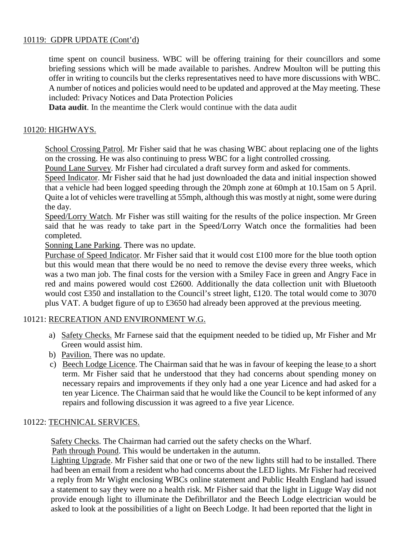# 10119: GDPR UPDATE (Cont'd)

time spent on council business. WBC will be offering training for their councillors and some briefing sessions which will be made available to parishes. Andrew Moulton will be putting this offer in writing to councils but the clerks representatives need to have more discussions with WBC. A number of notices and policies would need to be updated and approved at the May meeting. These included: Privacy Notices and Data Protection Policies

**Data audit**. In the meantime the Clerk would continue with the data audit

## 10120: HIGHWAYS.

School Crossing Patrol. Mr Fisher said that he was chasing WBC about replacing one of the lights on the crossing. He was also continuing to press WBC for a light controlled crossing.

Pound Lane Survey. Mr Fisher had circulated a draft survey form and asked for comments.

Speed Indicator. Mr Fisher said that he had just downloaded the data and initial inspection showed that a vehicle had been logged speeding through the 20mph zone at 60mph at 10.15am on 5 April. Quite a lot of vehicles were travelling at 55mph, although this was mostly at night, some were during the day.

Speed/Lorry Watch. Mr Fisher was still waiting for the results of the police inspection. Mr Green said that he was ready to take part in the Speed/Lorry Watch once the formalities had been completed.

Sonning Lane Parking. There was no update.

Purchase of Speed Indicator. Mr Fisher said that it would cost £100 more for the blue tooth option but this would mean that there would be no need to remove the devise every three weeks, which was a two man job. The final costs for the version with a Smiley Face in green and Angry Face in red and mains powered would cost £2600. Additionally the data collection unit with Bluetooth would cost £350 and installation to the Council's street light, £120. The total would come to 3070 plus VAT. A budget figure of up to £3650 had already been approved at the previous meeting.

#### 10121: RECREATION AND ENVIRONMENT W.G.

- a) Safety Checks. Mr Farnese said that the equipment needed to be tidied up, Mr Fisher and Mr Green would assist him.
- b) Pavilion. There was no update.
- c) Beech Lodge Licence. The Chairman said that he was in favour of keeping the lease to a short term. Mr Fisher said that he understood that they had concerns about spending money on necessary repairs and improvements if they only had a one year Licence and had asked for a ten year Licence. The Chairman said that he would like the Council to be kept informed of any repairs and following discussion it was agreed to a five year Licence.

#### 10122: TECHNICAL SERVICES.

Safety Checks. The Chairman had carried out the safety checks on the Wharf.

Path through Pound. This would be undertaken in the autumn.

Lighting Upgrade. Mr Fisher said that one or two of the new lights still had to be installed. There had been an email from a resident who had concerns about the LED lights. Mr Fisher had received a reply from Mr Wight enclosing WBCs online statement and Public Health England had issued a statement to say they were no a health risk. Mr Fisher said that the light in Liguge Way did not provide enough light to illuminate the Defibrillator and the Beech Lodge electrician would be asked to look at the possibilities of a light on Beech Lodge. It had been reported that the light in